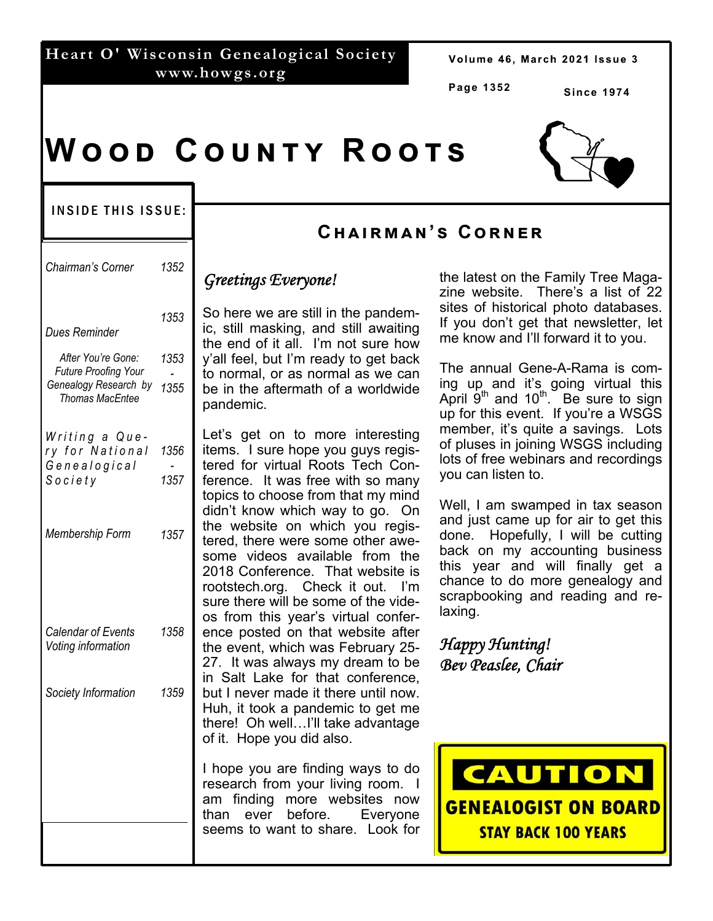## **Heart O' Wisconsin Genealogical Society www.howgs.org**

Volume 46, March 2021 Issue 3

**Page 1352** 

**Since 1974** 

# $W$  O O D  $C$  O U N T Y  $R$  O O T S

#### INSIDE THIS ISSUE:

| Chairman's Corner                                 | 1352 | Greetings                                                                                                                           |
|---------------------------------------------------|------|-------------------------------------------------------------------------------------------------------------------------------------|
| Dues Reminder                                     | 1353 | So here w<br>ic, still ma<br>the end of                                                                                             |
| After You're Gone:<br><b>Future Proofing Your</b> | 1353 | y'all feel, I<br>to normal,                                                                                                         |
| Genealogy Research by<br><b>Thomas MacEntee</b>   | 1355 | be in the<br>pandemic.                                                                                                              |
| Writing a Que-<br>ry for National                 | 1356 | Let's get<br>items. I si                                                                                                            |
| Genealogical                                      |      | tered for                                                                                                                           |
| Society                                           | 1357 | ference.<br>topics to c<br>didn't kno<br>the websi<br>tered, ther<br>some vid<br>2018 Con<br>rootstech.<br>sure there<br>os from tl |
| Membership Form                                   | 1357 |                                                                                                                                     |
| <b>Calendar of Events</b><br>Voting information   | 1358 | ence post<br>the event,<br>27. It was                                                                                               |
| Society Information                               | 1359 | in Salt La<br>but I neve<br>Huh, it too<br>there! Oh<br>of it. Hope                                                                 |
|                                                   |      | l hope yo<br>research 1<br>am findin<br>than eve<br>seems to                                                                        |
|                                                   |      |                                                                                                                                     |

## **Cඐඉඑකඕඉඖ'ඛ Cකඖඍක**

## *Greetings Everyone!*

e are still in the pandemasking, and still awaiting f it all. I'm not sure how but I'm ready to get back or as normal as we can aftermath of a worldwide pandemic.

on to more interesting ure hope you guys regisvirtual Roots Tech Con-It was free with so many hoose from that my mind w which way to go. On ite on which you registe were some other aweeos available from the ference. That website is ora. Check it out. I'm will be some of the videhis vear's virtual confered on that website after which was February 25s always my dream to be ake for that conference, r made it there until now. bk a pandemic to get me well...I'll take advantage e you did also.

u are finding ways to do from your living room. I ig more websites now<br>er before. Evervone er before. Evervone want to share. Look for the latest on the Family Tree Magazine website. There's a list of 22 sites of historical photo databases. If you don't get that newsletter, let me know and I'll forward it to you.

The annual Gene-A-Rama is coming up and it's going virtual this April  $9<sup>th</sup>$  and  $10<sup>th</sup>$ . Be sure to sign up for this event. If you're a WSGS member, it's quite a savings. Lots of pluses in joining WSGS including lots of free webinars and recordings you can listen to.

Well, I am swamped in tax season and just came up for air to get this done. Hopefully, I will be cutting back on my accounting business this year and will finally get a chance to do more genealogy and scrapbooking and reading and relaxing.

*Happy Hunting! Bev Peaslee, Chair* 



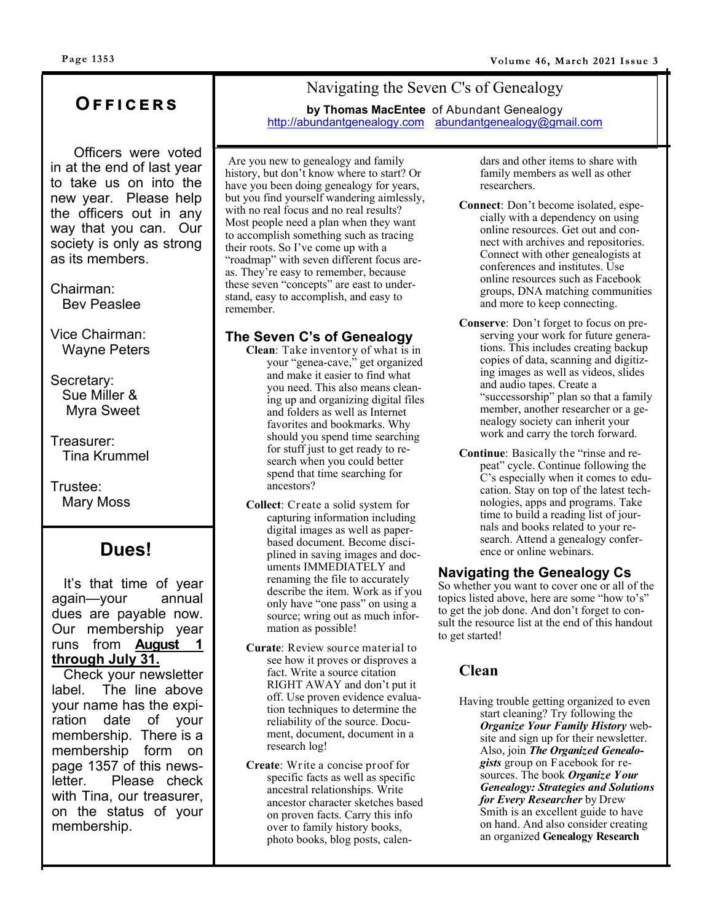## **Oඎඎඑඋඍකඛ**

 Officers were voted in at the end of last year to take us on into the new year. Please help the officers out in any way that you can. Our society is only as strong as its members.

Chairman: Bev Peaslee

Vice Chairman: Wayne Peters

Secretary: Sue Miller & Myra Sweet

Treasurer: Tina Krummel

Trustee: Mary Moss

## **Dues!**

 It's that time of year again—your annual dues are payable now. Our membership year runs from **August 1 through July 31.** 

 Check your newsletter label. The line above your name has the expiration date of your membership. There is a membership form on page 1357 of this newsletter. Please check with Tina, our treasurer, on the status of your membership.

## Navigating the Seven C's of Genealogy

**by Thomas MacEntee** of Abundant Genealogy http://abundantgenealogy.com abundantgenealogy@gmail.com

Are you new to genealogy and family history, but don't know where to start? Or have you been doing genealogy for years, but you find yourself wandering aimlessly, with no real focus and no real results? Most people need a plan when they want to accomplish something such as tracing their roots. So I've come up with a "roadmap" with seven different focus areas. They're easy to remember, because these seven "concepts" are east to understand, easy to accomplish, and easy to remember.

### **The Seven C's of Genealogy**

- **Clean**: Take inventory of what is in your "genea-cave," get organized and make it easier to find what you need. This also means cleaning up and organizing digital files and folders as well as Internet favorites and bookmarks. Why should you spend time searching for stuff just to get ready to research when you could better spend that time searching for ancestors?
- **Collect**: Create a solid system for capturing information including digital images as well as paperbased document. Become disciplined in saving images and documents IMMEDIATELY and renaming the file to accurately describe the item. Work as if you only have "one pass" on using a source; wring out as much information as possible!
- **Curate**: Review source material to see how it proves or disproves a fact. Write a source citation RIGHT AWAY and don't put it off. Use proven evidence evaluation techniques to determine the reliability of the source. Document, document, document in a research log!
- **Create**: Write a concise proof for specific facts as well as specific ancestral relationships. Write ancestor character sketches based on proven facts. Carry this info over to family history books, photo books, blog posts, calen-

dars and other items to share with family members as well as other researchers.

- **Connect**: Don't become isolated, especially with a dependency on using online resources. Get out and connect with archives and repositories. Connect with other genealogists at conferences and institutes. Use online resources such as Facebook groups, DNA matching communities and more to keep connecting.
- **Conserve**: Don't forget to focus on preserving your work for future generations. This includes creating backup copies of data, scanning and digitizing images as well as videos, slides and audio tapes. Create a "successorship" plan so that a family member, another researcher or a genealogy society can inherit your work and carry the torch forward.
- **Continue**: Basically the "rinse and repeat" cycle. Continue following the C's especially when it comes to education. Stay on top of the latest technologies, apps and programs. Take time to build a reading list of journals and books related to your research. Attend a genealogy conference or online webinars.

#### **Navigating the Genealogy Cs**

So whether you want to cover one or all of the topics listed above, here are some "how to's" to get the job done. And don't forget to consult the resource list at the end of this handout to get started!

## **Clean**

Having trouble getting organized to even start cleaning? Try following the *Organize Your Family History* website and sign up for their newsletter. Also, join *The Organized Genealogists* group on Facebook for resources. The book *Organize Your Genealogy: Strategies and Solutions for Every Researcher* by Drew Smith is an excellent guide to have on hand. And also consider creating an organized **Genealogy Research**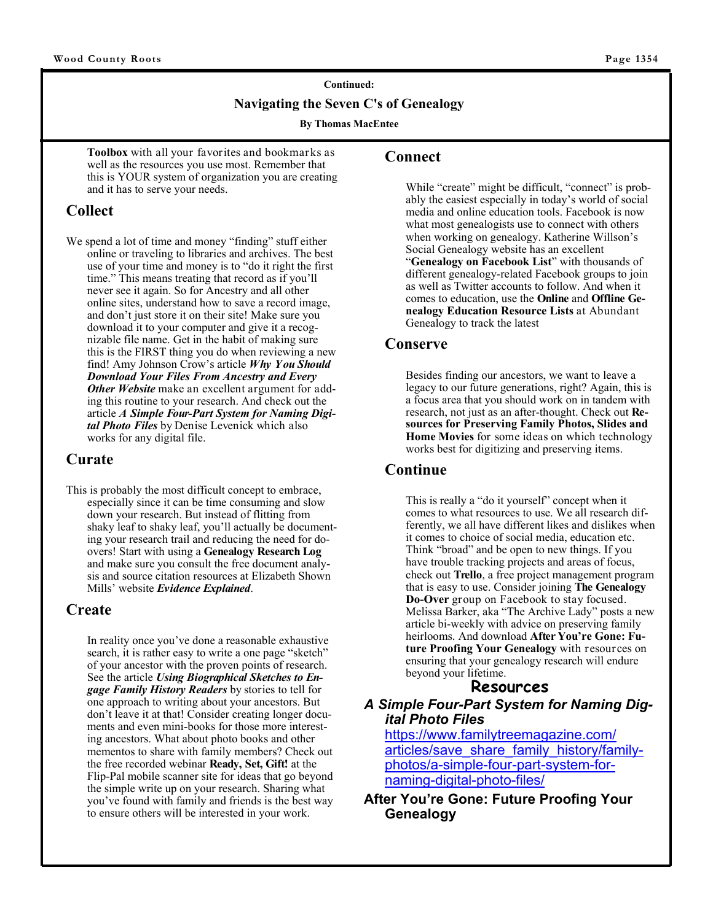# **Continued: Navigating the Seven C's of Genealogy**

**By Thomas MacEntee** 

**Toolbox** with all your favorites and bookmarks as well as the resources you use most. Remember that this is YOUR system of organization you are creating and it has to serve your needs.

## **Collect**

We spend a lot of time and money "finding" stuff either online or traveling to libraries and archives. The best use of your time and money is to "do it right the first time." This means treating that record as if you'll never see it again. So for Ancestry and all other online sites, understand how to save a record image, and don't just store it on their site! Make sure you download it to your computer and give it a recognizable file name. Get in the habit of making sure this is the FIRST thing you do when reviewing a new find! Amy Johnson Crow's article *Why You Should Download Your Files From Ancestry and Every Other Website* make an excellent argument for adding this routine to your research. And check out the article *A Simple Four-Part System for Naming Digital Photo Files* by Denise Levenick which also works for any digital file.

## **Curate**

This is probably the most difficult concept to embrace, especially since it can be time consuming and slow down your research. But instead of flitting from shaky leaf to shaky leaf, you'll actually be documenting your research trail and reducing the need for doovers! Start with using a **Genealogy Research Log** and make sure you consult the free document analysis and source citation resources at Elizabeth Shown Mills' website *Evidence Explained*.

## **Create**

In reality once you've done a reasonable exhaustive search, it is rather easy to write a one page "sketch" of your ancestor with the proven points of research. See the article *Using Biographical Sketches to Engage Family History Readers* by stories to tell for one approach to writing about your ancestors. But don't leave it at that! Consider creating longer documents and even mini-books for those more interesting ancestors. What about photo books and other mementos to share with family members? Check out the free recorded webinar **Ready, Set, Gift!** at the Flip-Pal mobile scanner site for ideas that go beyond the simple write up on your research. Sharing what you've found with family and friends is the best way to ensure others will be interested in your work.

#### **Connect**

While "create" might be difficult, "connect" is probably the easiest especially in today's world of social media and online education tools. Facebook is now what most genealogists use to connect with others when working on genealogy. Katherine Willson's Social Genealogy website has an excellent "**Genealogy on Facebook List**" with thousands of different genealogy-related Facebook groups to join as well as Twitter accounts to follow. And when it comes to education, use the **Online** and **Offline Genealogy Education Resource Lists** at Abundant Genealogy to track the latest

#### **Conserve**

Besides finding our ancestors, we want to leave a legacy to our future generations, right? Again, this is a focus area that you should work on in tandem with research, not just as an after-thought. Check out **Resources for Preserving Family Photos, Slides and Home Movies** for some ideas on which technology works best for digitizing and preserving items.

## **Continue**

This is really a "do it yourself" concept when it comes to what resources to use. We all research differently, we all have different likes and dislikes when it comes to choice of social media, education etc. Think "broad" and be open to new things. If you have trouble tracking projects and areas of focus, check out **Trello**, a free project management program that is easy to use. Consider joining **The Genealogy Do-Over** group on Facebook to stay focused. Melissa Barker, aka "The Archive Lady" posts a new article bi-weekly with advice on preserving family heirlooms. And download **After You're Gone: Future Proofing Your Genealogy** with resources on ensuring that your genealogy research will endure beyond your lifetime.

## **Resources**

*A Simple Four-Part System for Naming Digital Photo Files*

https://www.familytreemagazine.com/ articles/save\_share\_family\_history/familyphotos/a-simple-four-part-system-fornaming-digital-photo-files/

**After You're Gone: Future Proofing Your Genealogy**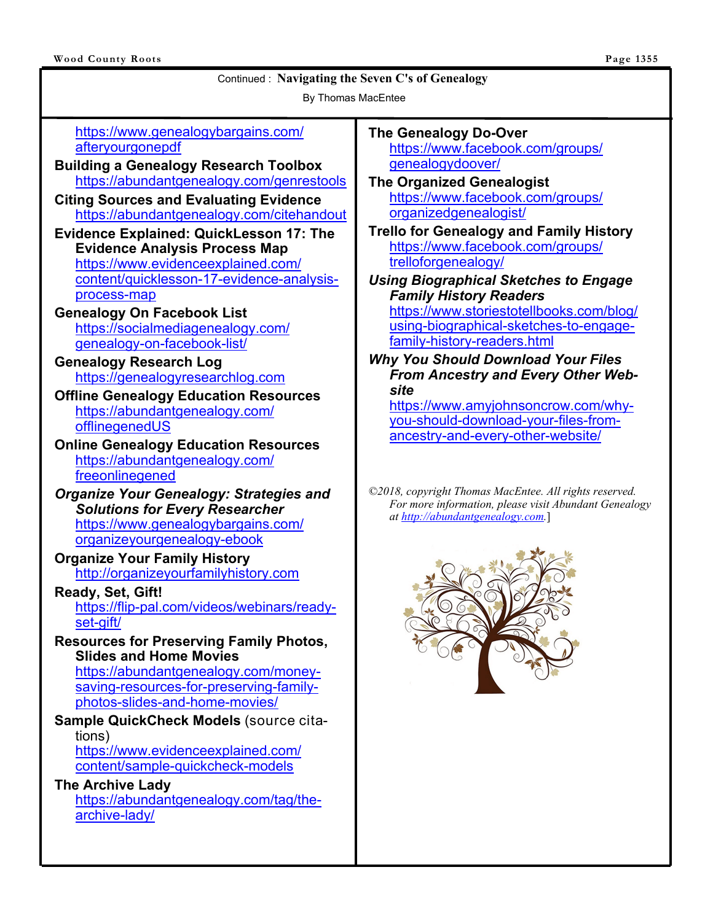By Thomas MacEntee

https://www.genealogybargains.com/ afteryourgonepdf

- **Building a Genealogy Research Toolbox** https://abundantgenealogy.com/genrestools
- **Citing Sources and Evaluating Evidence** https://abundantgenealogy.com/citehandout
- **Evidence Explained: QuickLesson 17: The Evidence Analysis Process Map** https://www.evidenceexplained.com/ content/quicklesson-17-evidence-analysisprocess-map
- **Genealogy On Facebook List** https://socialmediagenealogy.com/ genealogy-on-facebook-list/
- **Genealogy Research Log** https://genealogyresearchlog.com
- **Offline Genealogy Education Resources** https://abundantgenealogy.com/ offlinegenedUS
- **Online Genealogy Education Resources** https://abundantgenealogy.com/ freeonlinegened
- *Organize Your Genealogy: Strategies and Solutions for Every Researcher* https://www.genealogybargains.com/ organizeyourgenealogy-ebook
- **Organize Your Family History** http://organizeyourfamilyhistory.com
- **Ready, Set, Gift!** https://flip-pal.com/videos/webinars/readyset-gift/
- **Resources for Preserving Family Photos, Slides and Home Movies**

https://abundantgenealogy.com/moneysaving-resources-for-preserving-familyphotos-slides-and-home-movies/

**Sample QuickCheck Models** (source citations) https://www.evidenceexplained.com/

content/sample-quickcheck-models

#### **The Archive Lady** https://abundantgenealogy.com/tag/thearchive-lady/

#### **The Genealogy Do-Over** https://www.facebook.com/groups/

genealogydoover/

**The Organized Genealogist** https://www.facebook.com/groups/ organizedgenealogist/

**Trello for Genealogy and Family History** https://www.facebook.com/groups/ trelloforgenealogy/

## *Using Biographical Sketches to Engage Family History Readers*

https://www.storiestotellbooks.com/blog/ using-biographical-sketches-to-engagefamily-history-readers.html

*Why You Should Download Your Files From Ancestry and Every Other Website*

https://www.amyjohnsoncrow.com/whyyou-should-download-your-files-fromancestry-and-every-other-website/

*©2018, copyright Thomas MacEntee. All rights reserved. For more information, please visit Abundant Genealogy at http://abundantgenealogy.com.*]

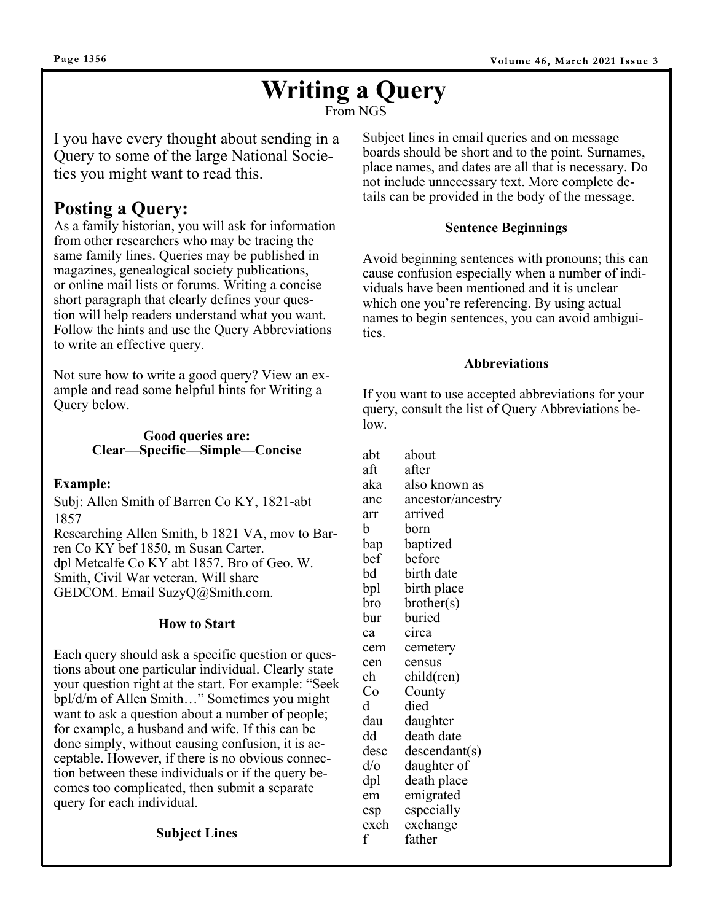# **Writing a Query**

From NGS

I you have every thought about sending in a Query to some of the large National Societies you might want to read this.

## **Posting a Query:**

As a family historian, you will ask for information from other researchers who may be tracing the same family lines. Queries may be published in magazines, genealogical society publications, or online mail lists or forums. Writing a concise short paragraph that clearly defines your question will help readers understand what you want. Follow the hints and use the Query Abbreviations to write an effective query.

Not sure how to write a good query? View an example and read some helpful hints for Writing a Query below.

#### **Good queries are: Clear—Specific—Simple—Concise**

#### **Example:**

Subj: Allen Smith of Barren Co KY, 1821-abt 1857

Researching Allen Smith, b 1821 VA, mov to Barren Co KY bef 1850, m Susan Carter. dpl Metcalfe Co KY abt 1857. Bro of Geo. W. Smith, Civil War veteran. Will share GEDCOM. Email SuzyQ@Smith.com.

#### **How to Start**

Each query should ask a specific question or questions about one particular individual. Clearly state your question right at the start. For example: "Seek bpl/d/m of Allen Smith…" Sometimes you might want to ask a question about a number of people; for example, a husband and wife. If this can be done simply, without causing confusion, it is acceptable. However, if there is no obvious connection between these individuals or if the query becomes too complicated, then submit a separate query for each individual.

#### **Subject Lines**

Subject lines in email queries and on message boards should be short and to the point. Surnames, place names, and dates are all that is necessary. Do not include unnecessary text. More complete details can be provided in the body of the message.

#### **Sentence Beginnings**

Avoid beginning sentences with pronouns; this can cause confusion especially when a number of individuals have been mentioned and it is unclear which one you're referencing. By using actual names to begin sentences, you can avoid ambiguities.

#### **Abbreviations**

If you want to use accepted abbreviations for your query, consult the list of Query Abbreviations below.

abt about aft after aka also known as anc ancestor/ancestry arr arrived b born bap baptized bef before bd birth date bpl birth place bro brother(s) bur buried ca circa cem cemetery cen census ch child(ren) Co County d died dau daughter dd death date desc descendant(s) d/o daughter of dpl death place em emigrated esp especially exch exchange f father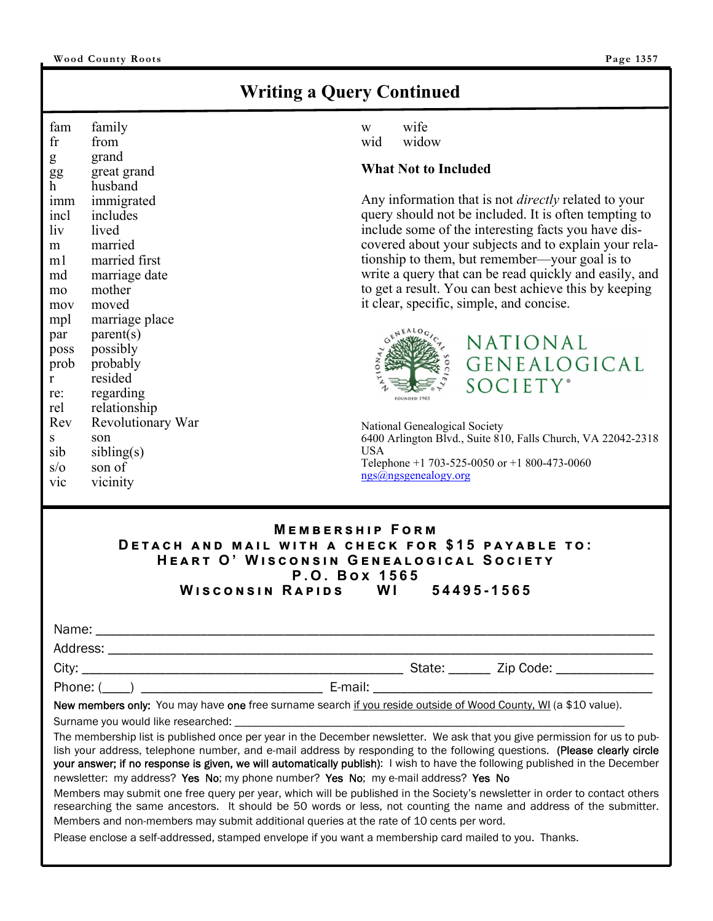## **Writing a Query Continued**

fam family fr from g grand gg great grand h husband imm immigrated incl includes liv lived m married m1 married first md marriage date mo mother mov moved mpl marriage place  $par$  parent(s) poss possibly prob probably r resided re: regarding rel relationship Rev Revolutionary War s son  $sib$  sibling(s) s/o son of vic vicinity

w wife wid widow

#### **What Not to Included**

Any information that is not *directly* related to your query should not be included. It is often tempting to include some of the interesting facts you have discovered about your subjects and to explain your relationship to them, but remember—your goal is to write a query that can be read quickly and easily, and to get a result. You can best achieve this by keeping it clear, specific, simple, and concise.

NATIONAL

 $SOCIETY<sup>*</sup>$ 

GENEALOGICAL



National Genealogical Society 6400 Arlington Blvd., Suite 810, Falls Church, VA 22042-2318 USA Telephone +1 703-525-0050 or +1 800-473-0060 ngs@ngsgenealogy.org

#### **MEMBERSHIP FORM DETACH AND MAIL WITH A CHECK FOR \$15 PAYABLE TO:**  $HEART$  O' WISCONSIN GENEALOGICAL SOCIETY  $P. O. Box 1565$ **W එඛඋඖඛඑඖ R ඉඑඌඛ WI 54495-1565**

| Name:    |        |           |
|----------|--------|-----------|
| Address: |        |           |
| City:    | State: | Zip Code: |

Phone: (\etail: \etail: \etail: \etail: \etail: \etail: \etail: \etail: \etail: \etail: \etail: \etail: \etail: \etail: \etail: \etail: \etail: \etail: \etail: \etail: \etail: \etail: \etail: \etail: \etail: \etail: \etail

New members only: You may have one free surname search if you reside outside of Wood County, WI (a \$10 value).

Surname you would like researched:

The membership list is published once per year in the December newsletter. We ask that you give permission for us to publish your address, telephone number, and e-mail address by responding to the following questions. (Please clearly circle your answer; if no response is given, we will automatically publish): I wish to have the following published in the December newsletter: my address? Yes No; my phone number? Yes No; my e-mail address? Yes No

Members may submit one free query per year, which will be published in the Society's newsletter in order to contact others researching the same ancestors. It should be 50 words or less, not counting the name and address of the submitter. Members and non-members may submit additional queries at the rate of 10 cents per word.

Please enclose a self-addressed, stamped envelope if you want a membership card mailed to you. Thanks.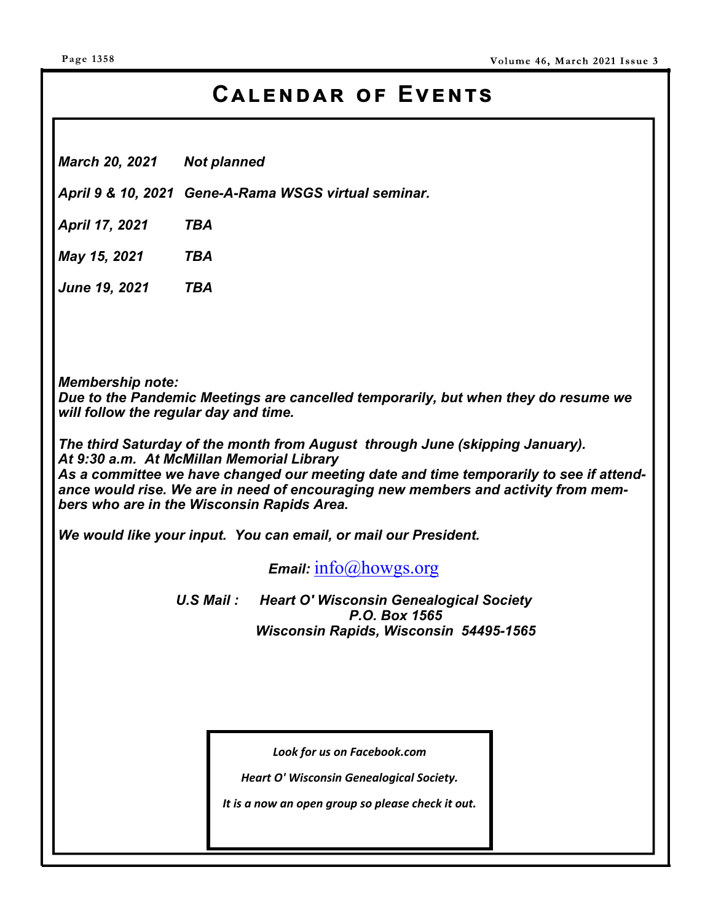# $CALENDAR$  OF EVENTS

*March 20, 2021 Not planned* 

*April 9 & 10, 2021 Gene-A-Rama WSGS virtual seminar.* 

*April 17, 2021 TBA* 

*May 15, 2021 TBA* 

*June 19, 2021 TBA* 

*Membership note:* 

*Due to the Pandemic Meetings are cancelled temporarily, but when they do resume we will follow the regular day and time.* 

*The third Saturday of the month from August through June (skipping January). At 9:30 a.m. At McMillan Memorial Library As a committee we have changed our meeting date and time temporarily to see if attendance would rise. We are in need of encouraging new members and activity from members who are in the Wisconsin Rapids Area.* 

*We would like your input. You can email, or mail our President.* 

*Email:* info@howgs.org

*U.S Mail : Heart O' Wisconsin Genealogical Society P.O. Box 1565 Wisconsin Rapids, Wisconsin 54495-1565*

*Look for us on Facebook.com* 

*Heart O' Wisconsin Genealogical Society.* 

*It is a now an open group so please check it out.*